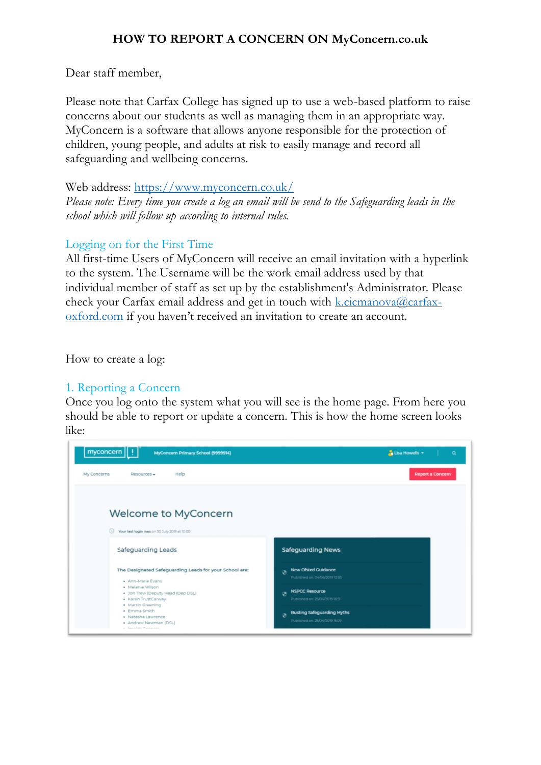## **HOW TO REPORT A CONCERN ON MyConcern.co.uk**

Dear staff member,

Please note that Carfax College has signed up to use a web-based platform to raise concerns about our students as well as managing them in an appropriate way. MyConcern is a software that allows anyone responsible for the protection of children, young people, and adults at risk to easily manage and record all safeguarding and wellbeing concerns.

Web address:<https://www.myconcern.co.uk/>

*Please note: Every time you create a log an email will be send to the Safeguarding leads in the school which will follow up according to internal rules.*

## Logging on for the First Time

All first-time Users of MyConcern will receive an email invitation with a hyperlink to the system. The Username will be the work email address used by that individual member of staff as set up by the establishment's Administrator. Please check your Carfax email address and get in touch with  $k$ .cicmanova@carfax[oxford.com](mailto:k.cicmanova@carfax-oxford.com) if you haven't received an invitation to create an account.

How to create a log:

# 1. Reporting a Concern

Once you log onto the system what you will see is the home page. From here you should be able to report or update a concern. This is how the home screen looks like:

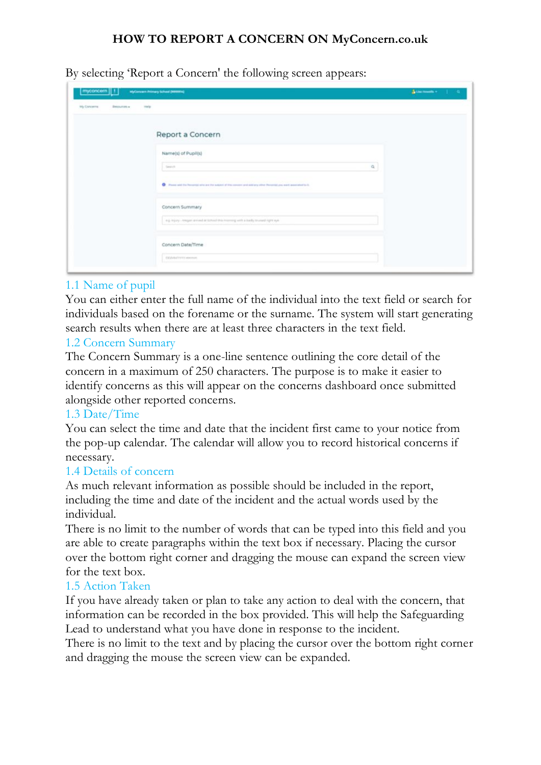## **HOW TO REPORT A CONCERN ON MyConcern.co.uk**

By selecting 'Report a Concern' the following screen appears:

| myconcern     <br><b>My Concerns</b><br>Desputies + | MyCoreann Primary School (MINING)<br>resta                                                                                |          | A clear research in the U.S. Co. |
|-----------------------------------------------------|---------------------------------------------------------------------------------------------------------------------------|----------|----------------------------------|
|                                                     | Report a Concern                                                                                                          |          |                                  |
|                                                     | Name(s) of Pupil(s)<br>Search                                                                                             | $\Omega$ |                                  |
|                                                     | C - Please and the Neverth who are the subject of this company and add any other Neverthi and was made as a little little |          |                                  |
|                                                     | Concern Summary<br>e.g. eyey - stepet around at latent this money with a badly tourant type aye.                          |          |                                  |
|                                                     | Concern Date/Time                                                                                                         |          |                                  |
|                                                     | <b>COMMITTEE HERINGS</b>                                                                                                  |          |                                  |

## 1.1 Name of pupil

You can either enter the full name of the individual into the text field or search for individuals based on the forename or the surname. The system will start generating search results when there are at least three characters in the text field.

## 1.2 Concern Summary

The Concern Summary is a one-line sentence outlining the core detail of the concern in a maximum of 250 characters. The purpose is to make it easier to identify concerns as this will appear on the concerns dashboard once submitted alongside other reported concerns.

#### 1.3 Date/Time

You can select the time and date that the incident first came to your notice from the pop-up calendar. The calendar will allow you to record historical concerns if necessary.

#### 1.4 Details of concern

As much relevant information as possible should be included in the report, including the time and date of the incident and the actual words used by the individual.

There is no limit to the number of words that can be typed into this field and you are able to create paragraphs within the text box if necessary. Placing the cursor over the bottom right corner and dragging the mouse can expand the screen view for the text box.

#### 1.5 Action Taken

If you have already taken or plan to take any action to deal with the concern, that information can be recorded in the box provided. This will help the Safeguarding Lead to understand what you have done in response to the incident.

There is no limit to the text and by placing the cursor over the bottom right corner and dragging the mouse the screen view can be expanded.